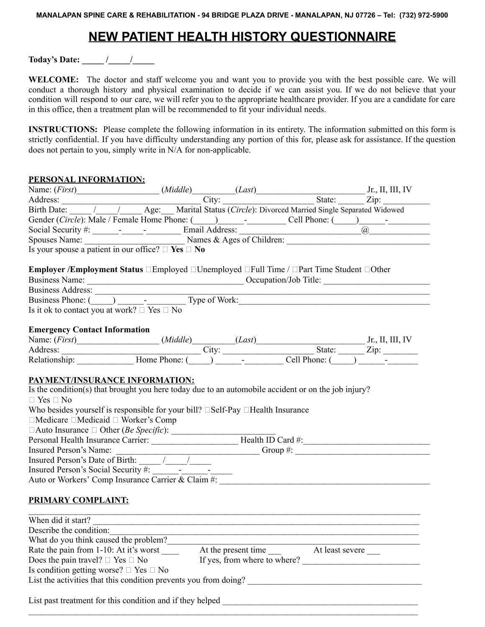# **NEW PATIENT HEALTH HISTORY QUESTIONNAIRE**

**Today's Date: \_\_\_\_\_ /\_\_\_\_\_/\_\_\_\_\_**

**WELCOME:** The doctor and staff welcome you and want you to provide you with the best possible care. We will conduct a thorough history and physical examination to decide if we can assist you. If we do not believe that your condition will respond to our care, we will refer you to the appropriate healthcare provider. If you are a candidate for care in this office, then a treatment plan will be recommended to fit your individual needs.

**INSTRUCTIONS:** Please complete the following information in its entirety. The information submitted on this form is strictly confidential. If you have difficulty understanding any portion of this for, please ask for assistance. If the question does not pertain to you, simply write in N/A for non-applicable.

#### **PERSONAL INFORMATION:**

| Name: ( <i>First</i> ) ( <i>Middle</i> ) ( <i>Last</i> ) [ <i>Ir., II, III, IV</i><br>Address: The City: City: City: City: City: City: City: City: City: City: City: City: City: City: City: City: City: City: City: City: City: City: City: City: City: Cit        |  |  |  |  |  |
|---------------------------------------------------------------------------------------------------------------------------------------------------------------------------------------------------------------------------------------------------------------------|--|--|--|--|--|
|                                                                                                                                                                                                                                                                     |  |  |  |  |  |
|                                                                                                                                                                                                                                                                     |  |  |  |  |  |
| Gender (Circle): Male / Female Home Phone: (Campannella Cell Phone: (Campannella Cell Phone: (Campannella Cell Phone: (Campannella Cell Phone: (Campannella Cell Phone: (Campannella Cell Phone: (Campannella Cell Phone: (Cam                                      |  |  |  |  |  |
|                                                                                                                                                                                                                                                                     |  |  |  |  |  |
|                                                                                                                                                                                                                                                                     |  |  |  |  |  |
|                                                                                                                                                                                                                                                                     |  |  |  |  |  |
|                                                                                                                                                                                                                                                                     |  |  |  |  |  |
| Employer /Employment Status □Employed □Unemployed □Full Time / □Part Time Student □Other                                                                                                                                                                            |  |  |  |  |  |
|                                                                                                                                                                                                                                                                     |  |  |  |  |  |
|                                                                                                                                                                                                                                                                     |  |  |  |  |  |
|                                                                                                                                                                                                                                                                     |  |  |  |  |  |
| Is it ok to contact you at work? $\Box$ Yes $\Box$ No                                                                                                                                                                                                               |  |  |  |  |  |
|                                                                                                                                                                                                                                                                     |  |  |  |  |  |
| <b>Emergency Contact Information</b>                                                                                                                                                                                                                                |  |  |  |  |  |
|                                                                                                                                                                                                                                                                     |  |  |  |  |  |
|                                                                                                                                                                                                                                                                     |  |  |  |  |  |
| Name: ( <i>First</i> ) ( <i>Middle</i> ) ( <i>Last</i> ) [ <i>Ir., II, III, IV</i><br>Address: The Phone: ( <i>City</i> : City: City: City: City: City: City: City: City: City: City: City: City: City: City: City: City: City: City: City: City: City: City: City: |  |  |  |  |  |
|                                                                                                                                                                                                                                                                     |  |  |  |  |  |
| PAYMENT/INSURANCE INFORMATION:                                                                                                                                                                                                                                      |  |  |  |  |  |
| Is the condition(s) that brought you here today due to an automobile accident or on the job injury?                                                                                                                                                                 |  |  |  |  |  |
| $\Box$ Yes $\Box$ No                                                                                                                                                                                                                                                |  |  |  |  |  |
| Who besides yourself is responsible for your bill? $\square$ Self-Pay $\square$ Health Insurance                                                                                                                                                                    |  |  |  |  |  |
| $\Box$ Medicare $\Box$ Medicaid $\Box$ Worker's Comp                                                                                                                                                                                                                |  |  |  |  |  |
|                                                                                                                                                                                                                                                                     |  |  |  |  |  |
|                                                                                                                                                                                                                                                                     |  |  |  |  |  |
|                                                                                                                                                                                                                                                                     |  |  |  |  |  |
|                                                                                                                                                                                                                                                                     |  |  |  |  |  |
|                                                                                                                                                                                                                                                                     |  |  |  |  |  |
|                                                                                                                                                                                                                                                                     |  |  |  |  |  |
|                                                                                                                                                                                                                                                                     |  |  |  |  |  |
| <b>PRIMARY COMPLAINT:</b>                                                                                                                                                                                                                                           |  |  |  |  |  |
| When did it start?                                                                                                                                                                                                                                                  |  |  |  |  |  |
| Describe the condition:                                                                                                                                                                                                                                             |  |  |  |  |  |

| Describe the condition:                                          |                              |                 |  |  |
|------------------------------------------------------------------|------------------------------|-----------------|--|--|
| What do you think caused the problem?                            |                              |                 |  |  |
| Rate the pain from 1-10: At it's worst                           | At the present time          | At least severe |  |  |
| Does the pain travel? $\Box$ Yes $\Box$ No                       | If yes, from where to where? |                 |  |  |
| Is condition getting worse? $\Box$ Yes $\Box$ No                 |                              |                 |  |  |
| List the activities that this condition prevents you from doing? |                              |                 |  |  |
|                                                                  |                              |                 |  |  |
| List past treatment for this condition and if they helped        |                              |                 |  |  |
|                                                                  |                              |                 |  |  |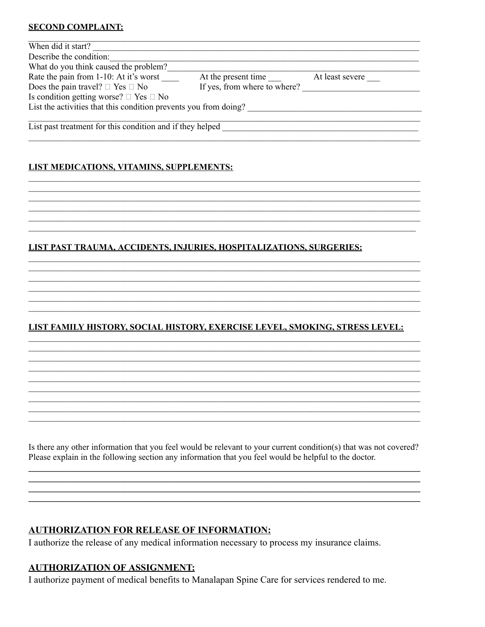## **SECOND COMPLAINT:**

| When did it start?                                               |                              |                 |  |  |
|------------------------------------------------------------------|------------------------------|-----------------|--|--|
| Describe the condition:                                          |                              |                 |  |  |
| What do you think caused the problem?                            |                              |                 |  |  |
| Rate the pain from 1-10: At it's worst                           | At the present time          | At least severe |  |  |
| Does the pain travel? $\Box$ Yes $\Box$ No                       | If yes, from where to where? |                 |  |  |
| Is condition getting worse? $\Box$ Yes $\Box$ No                 |                              |                 |  |  |
| List the activities that this condition prevents you from doing? |                              |                 |  |  |
|                                                                  |                              |                 |  |  |
| List past treatment for this condition and if they helped        |                              |                 |  |  |

## LIST MEDICATIONS, VITAMINS, SUPPLEMENTS:

## LIST PAST TRAUMA, ACCIDENTS, INJURIES, HOSPITALIZATIONS, SURGERIES:

## LIST FAMILY HISTORY, SOCIAL HISTORY, EXERCISE LEVEL, SMOKING, STRESS LEVEL:

Is there any other information that you feel would be relevant to your current condition(s) that was not covered? Please explain in the following section any information that you feel would be helpful to the doctor.

## **AUTHORIZATION FOR RELEASE OF INFORMATION:**

I authorize the release of any medical information necessary to process my insurance claims.

### **AUTHORIZATION OF ASSIGNMENT:**

I authorize payment of medical benefits to Manalapan Spine Care for services rendered to me.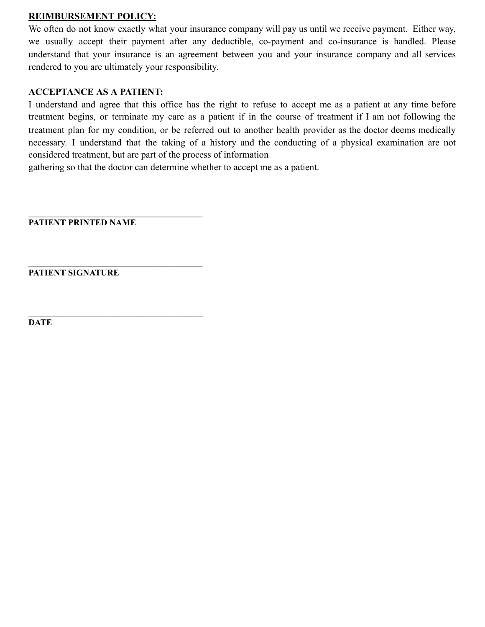## **REIMBURSEMENT POLICY:**

We often do not know exactly what your insurance company will pay us until we receive payment. Either way, we usually accept their payment after any deductible, co-payment and co-insurance is handled. Please understand that your insurance is an agreement between you and your insurance company and all services rendered to you are ultimately your responsibility.

## **ACCEPTANCE AS A PATIENT:**

I understand and agree that this office has the right to refuse to accept me as a patient at any time before treatment begins, or terminate my care as a patient if in the course of treatment if I am not following the treatment plan for my condition, or be referred out to another health provider as the doctor deems medically necessary. I understand that the taking of a history and the conducting of a physical examination are not considered treatment, but are part of the process of information

gathering so that the doctor can determine whether to accept me as a patient.

**PATIENT PRINTED NAME**

 $\mathcal{L}_\text{max}$ 

 $\mathcal{L}_\text{max}$ **PATIENT SIGNATURE**

 $\mathcal{L}_\text{max}$ **DATE**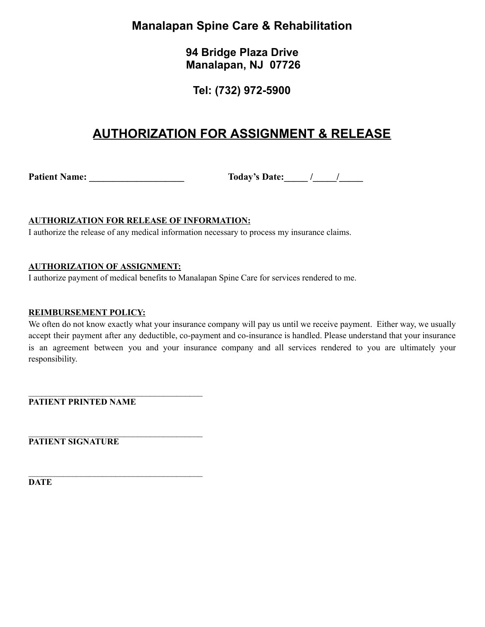# **Manalapan Spine Care & Rehabilitation**

**94 Bridge Plaza Drive Manalapan, NJ 07726**

**Tel: (732) 972-5900**

# **AUTHORIZATION FOR ASSIGNMENT & RELEASE**

**Patient Name: \_\_\_\_\_\_\_\_\_\_\_\_\_\_\_\_\_\_\_\_ Today's Date:\_\_\_\_\_ /\_\_\_\_\_/\_\_\_\_\_** 

## **AUTHORIZATION FOR RELEASE OF INFORMATION:**

I authorize the release of any medical information necessary to process my insurance claims.

### **AUTHORIZATION OF ASSIGNMENT:**

 $\mathcal{L}_\text{max}$ 

 $\mathcal{L}_\text{max}$ 

I authorize payment of medical benefits to Manalapan Spine Care for services rendered to me.

#### **REIMBURSEMENT POLICY:**

We often do not know exactly what your insurance company will pay us until we receive payment. Either way, we usually accept their payment after any deductible, co-payment and co-insurance is handled. Please understand that your insurance is an agreement between you and your insurance company and all services rendered to you are ultimately your responsibility.

**PATIENT PRINTED NAME**

 $\mathcal{L}_\text{max}$ **PATIENT SIGNATURE**

**DATE**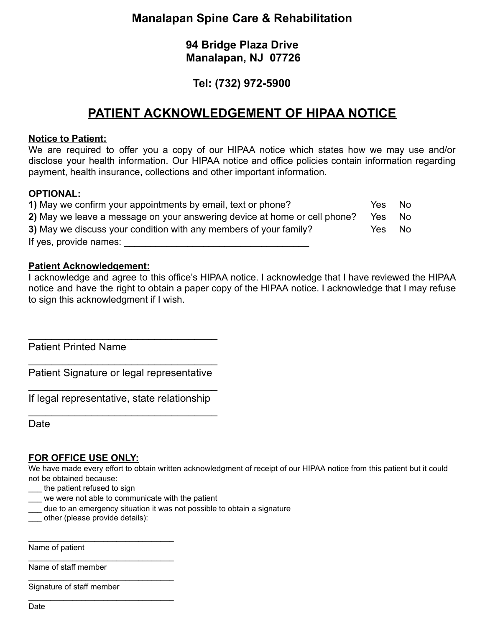## **Manalapan Spine Care & Rehabilitation**

## **94 Bridge Plaza Drive Manalapan, NJ 07726**

## **Tel: (732) 972-5900**

# **PATIENT ACKNOWLEDGEMENT OF HIPAA NOTICE**

## **Notice to Patient:**

We are required to offer you a copy of our HIPAA notice which states how we may use and/or disclose your health information. Our HIPAA notice and office policies contain information regarding payment, health insurance, collections and other important information.

## **OPTIONAL:**

| 1) May we confirm your appointments by email, text or phone?              | Yes  | No.  |
|---------------------------------------------------------------------------|------|------|
| 2) May we leave a message on your answering device at home or cell phone? | Yes. | - No |
| 3) May we discuss your condition with any members of your family?         | Yes  | No.  |
| If yes, provide names:                                                    |      |      |

## **Patient Acknowledgement:**

I acknowledge and agree to this office's HIPAA notice. I acknowledge that I have reviewed the HIPAA notice and have the right to obtain a paper copy of the HIPAA notice. I acknowledge that I may refuse to sign this acknowledgment if I wish.

Patient Printed Name

\_\_\_\_\_\_\_\_\_\_\_\_\_\_\_\_\_\_\_\_\_\_\_\_\_\_\_\_\_\_\_\_\_ Patient Signature or legal representative

\_\_\_\_\_\_\_\_\_\_\_\_\_\_\_\_\_\_\_\_\_\_\_\_\_\_\_\_\_\_\_\_\_

\_\_\_\_\_\_\_\_\_\_\_\_\_\_\_\_\_\_\_\_\_\_\_\_\_\_\_\_\_\_\_\_\_ If legal representative, state relationship \_\_\_\_\_\_\_\_\_\_\_\_\_\_\_\_\_\_\_\_\_\_\_\_\_\_\_\_\_\_\_\_\_

Date

## **FOR OFFICE USE ONLY:**

We have made every effort to obtain written acknowledgment of receipt of our HIPAA notice from this patient but it could not be obtained because:

- the patient refused to sign
- we were not able to communicate with the patient
- \_\_\_ due to an emergency situation it was not possible to obtain a signature
- \_\_\_ other (please provide details):

\_\_\_\_\_\_\_\_\_\_\_\_\_\_\_\_\_\_\_\_\_\_\_\_\_\_\_\_\_\_\_\_\_

\_\_\_\_\_\_\_\_\_\_\_\_\_\_\_\_\_\_\_\_\_\_\_\_\_\_\_\_\_\_\_\_\_

\_\_\_\_\_\_\_\_\_\_\_\_\_\_\_\_\_\_\_\_\_\_\_\_\_\_\_\_\_\_\_\_\_

\_\_\_\_\_\_\_\_\_\_\_\_\_\_\_\_\_\_\_\_\_\_\_\_\_\_\_\_\_\_\_\_\_

Name of patient

Name of staff member

Signature of staff member

Date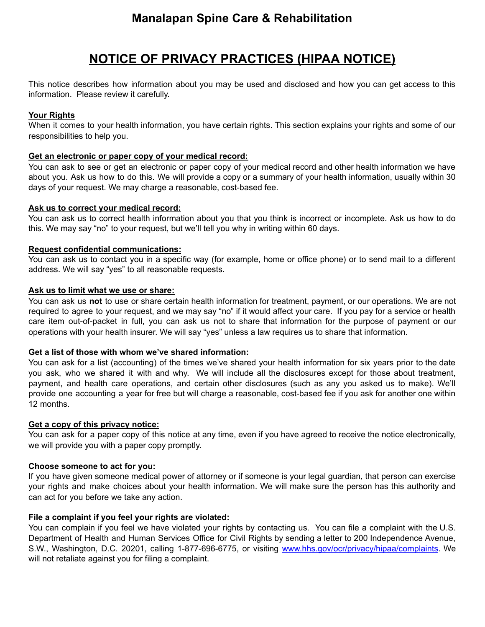# **Manalapan Spine Care & Rehabilitation**

# **NOTICE OF PRIVACY PRACTICES (HIPAA NOTICE)**

This notice describes how information about you may be used and disclosed and how you can get access to this information. Please review it carefully.

#### **Your Rights**

When it comes to your health information, you have certain rights. This section explains your rights and some of our responsibilities to help you.

#### **Get an electronic or paper copy of your medical record:**

You can ask to see or get an electronic or paper copy of your medical record and other health information we have about you. Ask us how to do this. We will provide a copy or a summary of your health information, usually within 30 days of your request. We may charge a reasonable, cost-based fee.

#### **Ask us to correct your medical record:**

You can ask us to correct health information about you that you think is incorrect or incomplete. Ask us how to do this. We may say "no" to your request, but we'll tell you why in writing within 60 days.

#### **Request confidential communications:**

You can ask us to contact you in a specific way (for example, home or office phone) or to send mail to a different address. We will say "yes" to all reasonable requests.

#### **Ask us to limit what we use or share:**

You can ask us **not** to use or share certain health information for treatment, payment, or our operations. We are not required to agree to your request, and we may say "no" if it would affect your care. If you pay for a service or health care item out-of-packet in full, you can ask us not to share that information for the purpose of payment or our operations with your health insurer. We will say "yes" unless a law requires us to share that information.

#### **Get a list of those with whom we've shared information:**

You can ask for a list (accounting) of the times we've shared your health information for six years prior to the date you ask, who we shared it with and why. We will include all the disclosures except for those about treatment, payment, and health care operations, and certain other disclosures (such as any you asked us to make). We'll provide one accounting a year for free but will charge a reasonable, cost-based fee if you ask for another one within 12 months.

#### **Get a copy of this privacy notice:**

You can ask for a paper copy of this notice at any time, even if you have agreed to receive the notice electronically, we will provide you with a paper copy promptly.

#### **Choose someone to act for you:**

If you have given someone medical power of attorney or if someone is your legal guardian, that person can exercise your rights and make choices about your health information. We will make sure the person has this authority and can act for you before we take any action.

#### **File a complaint if you feel your rights are violated:**

You can complain if you feel we have violated your rights by contacting us. You can file a complaint with the U.S. Department of Health and Human Services Office for Civil Rights by sending a letter to 200 Independence Avenue, S.W., Washington, D.C. 20201, calling 1-877-696-6775, or visiting [www.hhs.gov/ocr/privacy/hipaa/complaints .](http://www.hhs.gov/ocr/privacy/hipaa/complaints) We will not retaliate against you for filing a complaint.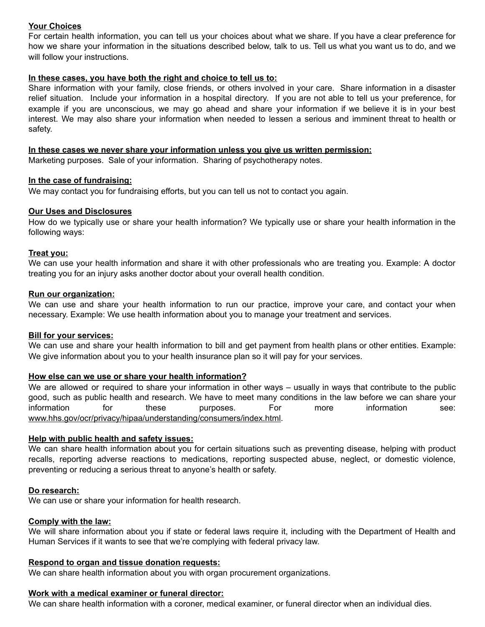## **Your Choices**

For certain health information, you can tell us your choices about what we share. If you have a clear preference for how we share your information in the situations described below, talk to us. Tell us what you want us to do, and we will follow your instructions.

#### **In these cases, you have both the right and choice to tell us to:**

Share information with your family, close friends, or others involved in your care. Share information in a disaster relief situation. Include your information in a hospital directory. If you are not able to tell us your preference, for example if you are unconscious, we may go ahead and share your information if we believe it is in your best interest. We may also share your information when needed to lessen a serious and imminent threat to health or safety.

#### **In these cases we never share your information unless you give us written permission:**

Marketing purposes. Sale of your information. Sharing of psychotherapy notes.

#### **In the case of fundraising:**

We may contact you for fundraising efforts, but you can tell us not to contact you again.

#### **Our Uses and Disclosures**

How do we typically use or share your health information? We typically use or share your health information in the following ways:

#### **Treat you:**

We can use your health information and share it with other professionals who are treating you. Example: A doctor treating you for an injury asks another doctor about your overall health condition.

#### **Run our organization:**

We can use and share your health information to run our practice, improve your care, and contact your when necessary. Example: We use health information about you to manage your treatment and services.

#### **Bill for your services:**

We can use and share your health information to bill and get payment from health plans or other entities. Example: We give information about you to your health insurance plan so it will pay for your services.

#### **How else can we use or share your health information?**

We are allowed or required to share your information in other ways – usually in ways that contribute to the public good, such as public health and research. We have to meet many conditions in the law before we can share your information for these purposes. For more information see: www.hhs.gov/ocr/privacy/hipaa/understanding/consumers/index.html.

#### **Help with public health and safety issues:**

We can share health information about you for certain situations such as preventing disease, helping with product recalls, reporting adverse reactions to medications, reporting suspected abuse, neglect, or domestic violence, preventing or reducing a serious threat to anyone's health or safety.

#### **Do research:**

We can use or share your information for health research.

#### **Comply with the law:**

We will share information about you if state or federal laws require it, including with the Department of Health and Human Services if it wants to see that we're complying with federal privacy law.

#### **Respond to organ and tissue donation requests:**

We can share health information about you with organ procurement organizations.

#### **Work with a medical examiner or funeral director:**

We can share health information with a coroner, medical examiner, or funeral director when an individual dies.